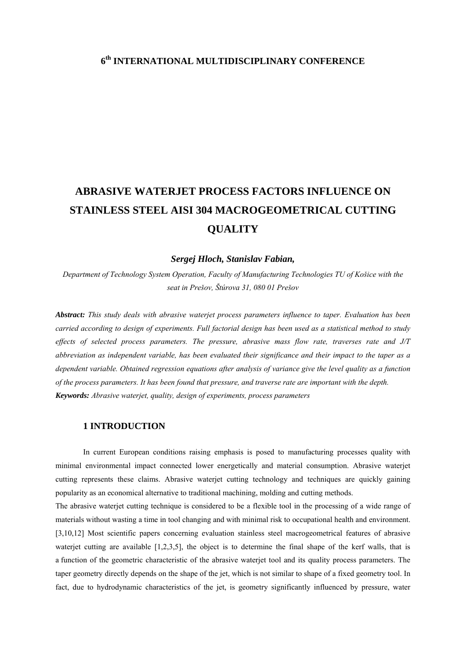## **6th INTERNATIONAL MULTIDISCIPLINARY CONFERENCE**

# **ABRASIVE WATERJET PROCESS FACTORS INFLUENCE ON STAINLESS STEEL AISI 304 MACROGEOMETRICAL CUTTING QUALITY**

#### *Sergej Hloch, Stanislav Fabian,*

*Department of Technology System Operation, Faculty of Manufacturing Technologies TU of Košice with the seat in Prešov, Štúrova 31, 080 01 Prešov*

*Abstract: This study deals with abrasive waterjet process parameters influence to taper. Evaluation has been carried according to design of experiments. Full factorial design has been used as a statistical method to study effects of selected process parameters. The pressure, abrasive mass flow rate, traverses rate and J/T abbreviation as independent variable, has been evaluated their significance and their impact to the taper as a dependent variable. Obtained regression equations after analysis of variance give the level quality as a function of the process parameters. It has been found that pressure, and traverse rate are important with the depth. Keywords: Abrasive waterjet, quality, design of experiments, process parameters*

## **1 INTRODUCTION**

In current European conditions raising emphasis is posed to manufacturing processes quality with minimal environmental impact connected lower energetically and material consumption. Abrasive waterjet cutting represents these claims. Abrasive waterjet cutting technology and techniques are quickly gaining popularity as an economical alternative to traditional machining, molding and cutting methods.

The abrasive waterjet cutting technique is considered to be a flexible tool in the processing of a wide range of materials without wasting a time in tool changing and with minimal risk to occupational health and environment. [3,10,12] Most scientific papers concerning evaluation stainless steel macrogeometrical features of abrasive waterjet cutting are available [1,2,3,5], the object is to determine the final shape of the kerf walls, that is a function of the geometric characteristic of the abrasive waterjet tool and its quality process parameters. The taper geometry directly depends on the shape of the jet, which is not similar to shape of a fixed geometry tool. In fact, due to hydrodynamic characteristics of the jet, is geometry significantly influenced by pressure, water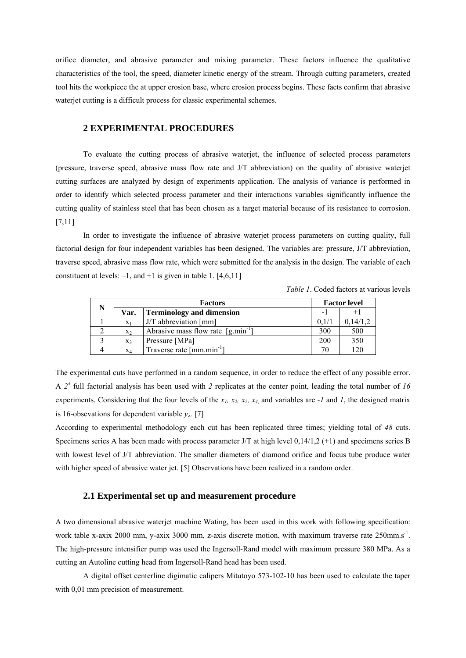orifice diameter, and abrasive parameter and mixing parameter. These factors influence the qualitative characteristics of the tool, the speed, diameter kinetic energy of the stream. Through cutting parameters, created tool hits the workpiece the at upper erosion base, where erosion process begins. These facts confirm that abrasive waterjet cutting is a difficult process for classic experimental schemes.

## **2 EXPERIMENTAL PROCEDURES**

To evaluate the cutting process of abrasive waterjet, the influence of selected process parameters (pressure, traverse speed, abrasive mass flow rate and J/T abbreviation) on the quality of abrasive waterjet cutting surfaces are analyzed by design of experiments application. The analysis of variance is performed in order to identify which selected process parameter and their interactions variables significantly influence the cutting quality of stainless steel that has been chosen as a target material because of its resistance to corrosion. [7,11]

In order to investigate the influence of abrasive waterjet process parameters on cutting quality, full factorial design for four independent variables has been designed. The variables are: pressure, J/T abbreviation, traverse speed, abrasive mass flow rate, which were submitted for the analysis in the design. The variable of each constituent at levels:  $-1$ , and  $+1$  is given in table 1. [4,6,11]

| N | <b>Factors</b> |                                        | <b>Factor level</b> |          |
|---|----------------|----------------------------------------|---------------------|----------|
|   | Var.           | <b>Terminology and dimension</b>       |                     |          |
|   | $X_1$          | J/T abbreviation [mm]                  | 0.1/1               | 0,14/1,2 |
|   | X <sub>2</sub> | Abrasive mass flow rate $[g,min^{-1}]$ | 300                 | 500      |
|   | $X_3$          | Pressure [MPa]                         | 200                 | 350      |
| 4 | $X_4$          | Traverse rate [mm.min <sup>-1</sup> ]  |                     | 120      |

*Table 1*. Coded factors at various levels

The experimental cuts have performed in a random sequence, in order to reduce the effect of any possible error. A  $2<sup>4</sup>$  full factorial analysis has been used with 2 replicates at the center point, leading the total number of 16 experiments. Considering that the four levels of the  $x_1$ ,  $x_2$ ,  $x_3$ ,  $x_4$  and variables are  $-1$  and  $1$ , the designed matrix is 16-obsevations for dependent variable  $y_{\lambda}$ . [7]

According to experimental methodology each cut has been replicated three times; yielding total of *48* cuts. Specimens series A has been made with process parameter J/T at high level 0,14/1,2 (+1) and specimens series B with lowest level of J/T abbreviation. The smaller diameters of diamond orifice and focus tube produce water with higher speed of abrasive water jet. [5] Observations have been realized in a random order.

## **2.1 Experimental set up and measurement procedure**

A two dimensional abrasive waterjet machine Wating, has been used in this work with following specification: work table x-axix 2000 mm, y-axix 3000 mm, z-axis discrete motion, with maximum traverse rate 250mm.s<sup>-1</sup>. The high-pressure intensifier pump was used the Ingersoll-Rand model with maximum pressure 380 MPa. As a cutting an Autoline cutting head from Ingersoll-Rand head has been used.

A digital offset centerline digimatic calipers Mitutoyo 573-102-10 has been used to calculate the taper with 0,01 mm precision of measurement.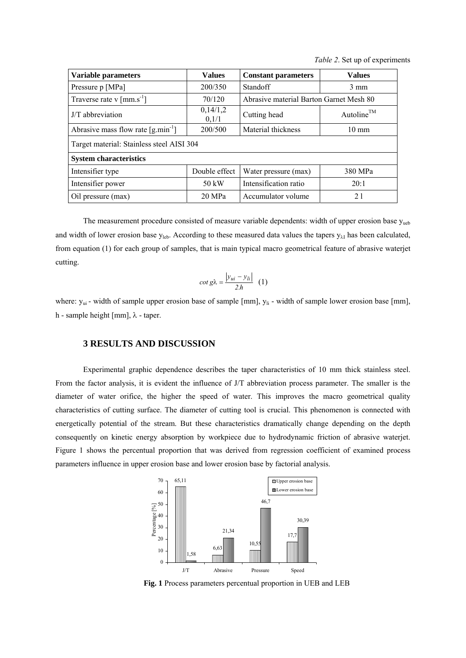*Table 2*. Set up of experiments

| Variable parameters                                           | <b>Values</b>     | <b>Constant parameters</b>              | <b>Values</b>          |  |  |  |  |
|---------------------------------------------------------------|-------------------|-----------------------------------------|------------------------|--|--|--|--|
| Pressure p [MPa]                                              | 200/350           | Standoff                                | $3 \text{ mm}$         |  |  |  |  |
| Traverse rate v $\lceil \text{mm} \cdot \text{s}^{-1} \rceil$ | 70/120            | Abrasive material Barton Garnet Mesh 80 |                        |  |  |  |  |
| J/T abbreviation                                              | 0,14/1,2<br>0,1/1 | Cutting head                            | Autoline <sup>TM</sup> |  |  |  |  |
| Abrasive mass flow rate $\left[\text{g,min}^{-1}\right]$      | 200/500           | Material thickness                      | $10 \text{ mm}$        |  |  |  |  |
| Target material: Stainless steel AISI 304                     |                   |                                         |                        |  |  |  |  |
| <b>System characteristics</b>                                 |                   |                                         |                        |  |  |  |  |
| Intensifier type                                              | Double effect     | Water pressure (max)                    | 380 MPa                |  |  |  |  |
| Intensifier power                                             | $50 \text{ kW}$   | Intensification ratio                   | 20:1                   |  |  |  |  |
| Oil pressure (max)                                            | 20 MPa            | Accumulator volume                      | 21                     |  |  |  |  |

The measurement procedure consisted of measure variable dependents: width of upper erosion base y<sub>ueb</sub> and width of lower erosion base  $y_{\text{leb}}$ . According to these measured data values the tapers  $y_{\lambda I}$  has been calculated, from equation (1) for each group of samples, that is main typical macro geometrical feature of abrasive waterjet cutting.

$$
\cot g\lambda = \frac{|y_{ui} - y_{li}|}{2.h} \quad (1)
$$

where:  $y_{ui}$  - width of sample upper erosion base of sample [mm],  $y_{li}$  - width of sample lower erosion base [mm], h - sample height [mm], λ - taper.

## **3 RESULTS AND DISCUSSION**

Experimental graphic dependence describes the taper characteristics of 10 mm thick stainless steel. From the factor analysis, it is evident the influence of J/T abbreviation process parameter. The smaller is the diameter of water orifice, the higher the speed of water. This improves the macro geometrical quality characteristics of cutting surface. The diameter of cutting tool is crucial. This phenomenon is connected with energetically potential of the stream. But these characteristics dramatically change depending on the depth consequently on kinetic energy absorption by workpiece due to hydrodynamic friction of abrasive waterjet. Figure 1 shows the percentual proportion that was derived from regression coefficient of examined process parameters influence in upper erosion base and lower erosion base by factorial analysis.



**Fig. 1** Process parameters percentual proportion in UEB and LEB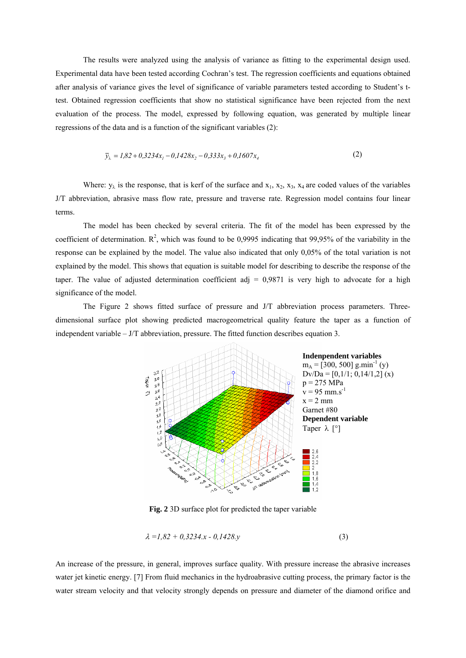The results were analyzed using the analysis of variance as fitting to the experimental design used. Experimental data have been tested according Cochran's test. The regression coefficients and equations obtained after analysis of variance gives the level of significance of variable parameters tested according to Student's ttest. Obtained regression coefficients that show no statistical significance have been rejected from the next evaluation of the process. The model, expressed by following equation, was generated by multiple linear regressions of the data and is a function of the significant variables (2):

$$
\overline{y}_{\lambda} = 1,82 + 0,3234x_1 - 0,1428x_2 - 0,333x_3 + 0,1607x_4
$$
\n(2)

Where:  $y_{\lambda}$  is the response, that is kerf of the surface and  $x_1, x_2, x_3, x_4$  are coded values of the variables J/T abbreviation, abrasive mass flow rate, pressure and traverse rate. Regression model contains four linear terms.

The model has been checked by several criteria. The fit of the model has been expressed by the coefficient of determination.  $\mathbb{R}^2$ , which was found to be 0,9995 indicating that 99,95% of the variability in the response can be explained by the model. The value also indicated that only 0,05% of the total variation is not explained by the model. This shows that equation is suitable model for describing to describe the response of the taper. The value of adjusted determination coefficient adj  $= 0.9871$  is very high to advocate for a high significance of the model.

The Figure 2 shows fitted surface of pressure and J/T abbreviation process parameters. Threedimensional surface plot showing predicted macrogeometrical quality feature the taper as a function of independent variable – J/T abbreviation, pressure. The fitted function describes equation 3.



**Fig. 2** 3D surface plot for predicted the taper variable

$$
\lambda = 1,82 + 0,3234.x - 0,1428.y \tag{3}
$$

An increase of the pressure, in general, improves surface quality. With pressure increase the abrasive increases water jet kinetic energy. [7] From fluid mechanics in the hydroabrasive cutting process, the primary factor is the water stream velocity and that velocity strongly depends on pressure and diameter of the diamond orifice and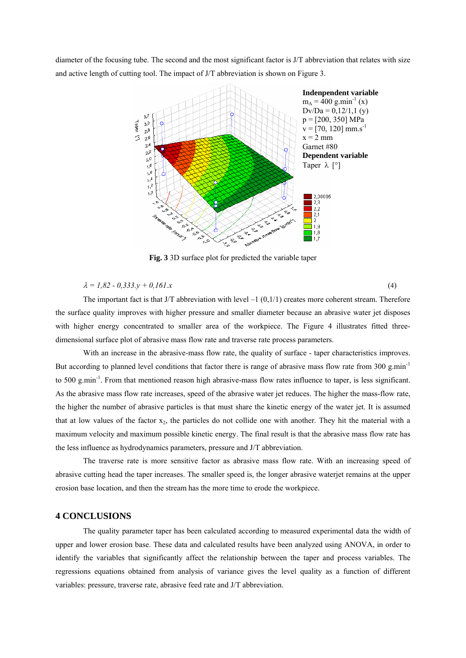diameter of the focusing tube. The second and the most significant factor is J/T abbreviation that relates with size and active length of cutting tool. The impact of J/T abbreviation is shown on Figure 3.



**Fig. 3** 3D surface plot for predicted the variable taper

### $\lambda = 1.82 - 0.333 \text{.}y + 0.161 \text{.}x$  (4)

The important fact is that J/T abbreviation with level  $-1$  (0,1/1) creates more coherent stream. Therefore the surface quality improves with higher pressure and smaller diameter because an abrasive water jet disposes with higher energy concentrated to smaller area of the workpiece. The Figure 4 illustrates fitted threedimensional surface plot of abrasive mass flow rate and traverse rate process parameters.

With an increase in the abrasive-mass flow rate, the quality of surface - taper characteristics improves. But according to planned level conditions that factor there is range of abrasive mass flow rate from  $300 \text{ g/min}^{-1}$ to 500 g.min<sup>-1</sup>. From that mentioned reason high abrasive-mass flow rates influence to taper, is less significant. As the abrasive mass flow rate increases, speed of the abrasive water jet reduces. The higher the mass-flow rate, the higher the number of abrasive particles is that must share the kinetic energy of the water jet. It is assumed that at low values of the factor  $x_2$ , the particles do not collide one with another. They hit the material with a maximum velocity and maximum possible kinetic energy. The final result is that the abrasive mass flow rate has the less influence as hydrodynamics parameters, pressure and J/T abbreviation.

The traverse rate is more sensitive factor as abrasive mass flow rate. With an increasing speed of abrasive cutting head the taper increases. The smaller speed is, the longer abrasive waterjet remains at the upper erosion base location, and then the stream has the more time to erode the workpiece.

#### **4 CONCLUSIONS**

The quality parameter taper has been calculated according to measured experimental data the width of upper and lower erosion base. These data and calculated results have been analyzed using ANOVA, in order to identify the variables that significantly affect the relationship between the taper and process variables. The regressions equations obtained from analysis of variance gives the level quality as a function of different variables: pressure, traverse rate, abrasive feed rate and J/T abbreviation.